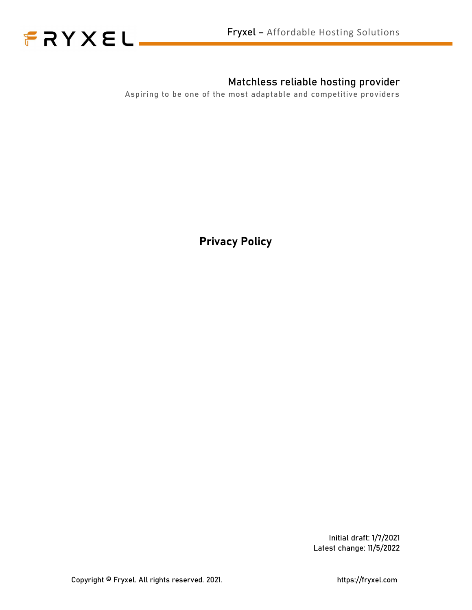



### Matchless reliable hosting provider

Aspiring to be one of the most adaptable and competitive providers

Privacy Policy

Initial draft: 1/7/2021 Latest change: 11/5/2022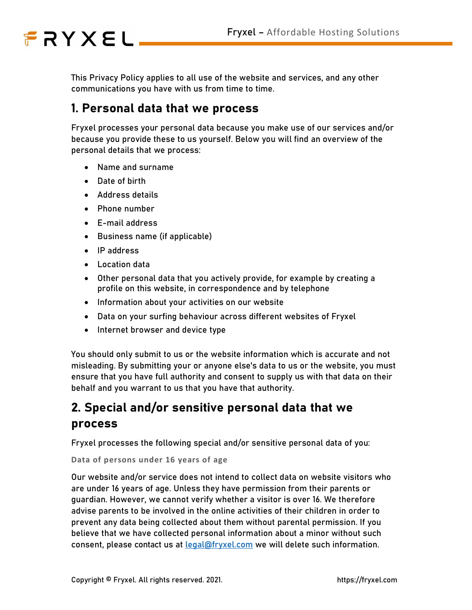This Privacy Policy applies to all use of the website and services, and any other communications you have with us from time to time.

### 1. Personal data that we process

Fryxel processes your personal data because you make use of our services and/or because you provide these to us yourself. Below you will find an overview of the personal details that we process:

- Name and surname
- Date of birth
- Address details
- Phone number
- E-mail address
- Business name (if applicable)
- IP address
- Location data
- Other personal data that you actively provide, for example by creating a profile on this website, in correspondence and by telephone
- Information about your activities on our website
- Data on your surfing behaviour across different websites of Fryxel
- Internet browser and device type

You should only submit to us or the website information which is accurate and not misleading. By submitting your or anyone else's data to us or the website, you must ensure that you have full authority and consent to supply us with that data on their behalf and you warrant to us that you have that authority.

## 2. Special and/or sensitive personal data that we process

Fryxel processes the following special and/or sensitive personal data of you:

Data of persons under 16 years of age

Our website and/or service does not intend to collect data on website visitors who are under 16 years of age. Unless they have permission from their parents or guardian. However, we cannot verify whether a visitor is over 16. We therefore advise parents to be involved in the online activities of their children in order to prevent any data being collected about them without parental permission. If you believe that we have collected personal information about a minor without such consent, please contact us at legal@fryxel.com we will delete such information.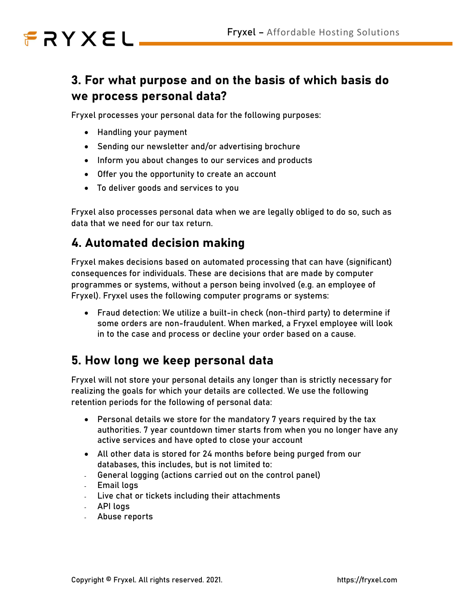## 3. For what purpose and on the basis of which basis do we process personal data?

Fryxel processes your personal data for the following purposes:

- Handling your payment
- Sending our newsletter and/or advertising brochure
- Inform you about changes to our services and products
- Offer you the opportunity to create an account
- To deliver goods and services to you

Fryxel also processes personal data when we are legally obliged to do so, such as data that we need for our tax return.

### 4. Automated decision making

Fryxel makes decisions based on automated processing that can have (significant) consequences for individuals. These are decisions that are made by computer programmes or systems, without a person being involved (e.g. an employee of Fryxel). Fryxel uses the following computer programs or systems:

 Fraud detection: We utilize a built-in check (non-third party) to determine if some orders are non-fraudulent. When marked, a Fryxel employee will look in to the case and process or decline your order based on a cause.

## 5. How long we keep personal data

Fryxel will not store your personal details any longer than is strictly necessary for realizing the goals for which your details are collected. We use the following retention periods for the following of personal data:

- Personal details we store for the mandatory 7 years required by the tax authorities. 7 year countdown timer starts from when you no longer have any active services and have opted to close your account
- All other data is stored for 24 months before being purged from our databases, this includes, but is not limited to:
- General logging (actions carried out on the control panel)
- Email logs
- Live chat or tickets including their attachments
- API logs
- Abuse reports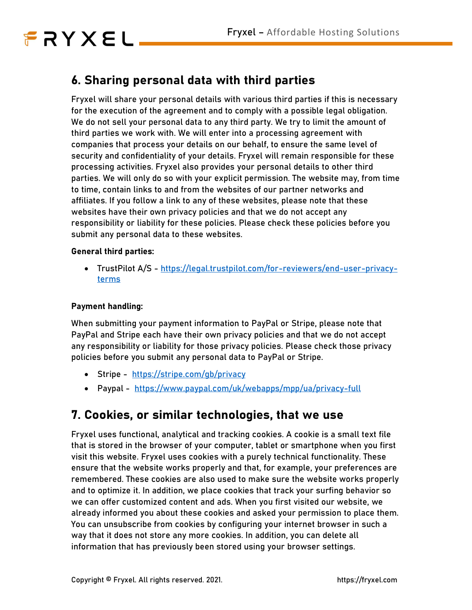## 6. Sharing personal data with third parties

Fryxel will share your personal details with various third parties if this is necessary for the execution of the agreement and to comply with a possible legal obligation. We do not sell your personal data to any third party. We try to limit the amount of third parties we work with. We will enter into a processing agreement with companies that process your details on our behalf, to ensure the same level of security and confidentiality of your details. Fryxel will remain responsible for these processing activities. Fryxel also provides your personal details to other third parties. We will only do so with your explicit permission. The website may, from time to time, contain links to and from the websites of our partner networks and affiliates. If you follow a link to any of these websites, please note that these websites have their own privacy policies and that we do not accept any responsibility or liability for these policies. Please check these policies before you submit any personal data to these websites.

#### General third parties:

 TrustPilot A/S - https://legal.trustpilot.com/for-reviewers/end-user-privacyterms

#### Payment handling:

When submitting your payment information to PayPal or Stripe, please note that PayPal and Stripe each have their own privacy policies and that we do not accept any responsibility or liability for those privacy policies. Please check those privacy policies before you submit any personal data to PayPal or Stripe.

- Stripe https://stripe.com/gb/privacy
- Paypal https://www.paypal.com/uk/webapps/mpp/ua/privacy-full

### 7. Cookies, or similar technologies, that we use

Fryxel uses functional, analytical and tracking cookies. A cookie is a small text file that is stored in the browser of your computer, tablet or smartphone when you first visit this website. Fryxel uses cookies with a purely technical functionality. These ensure that the website works properly and that, for example, your preferences are remembered. These cookies are also used to make sure the website works properly and to optimize it. In addition, we place cookies that track your surfing behavior so we can offer customized content and ads. When you first visited our website, we already informed you about these cookies and asked your permission to place them. You can unsubscribe from cookies by configuring your internet browser in such a way that it does not store any more cookies. In addition, you can delete all information that has previously been stored using your browser settings.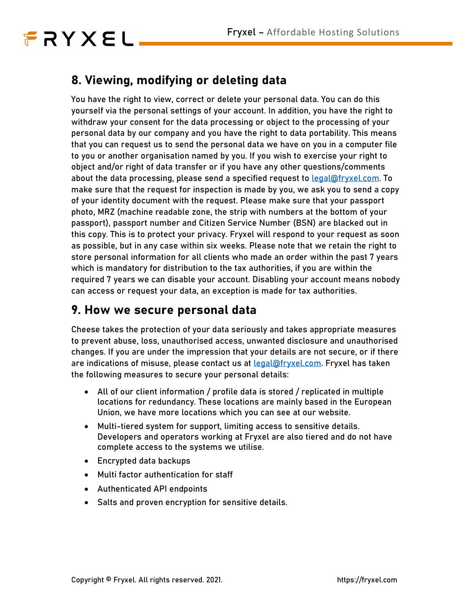## 8. Viewing, modifying or deleting data

You have the right to view, correct or delete your personal data. You can do this yourself via the personal settings of your account. In addition, you have the right to withdraw your consent for the data processing or object to the processing of your personal data by our company and you have the right to data portability. This means that you can request us to send the personal data we have on you in a computer file to you or another organisation named by you. If you wish to exercise your right to object and/or right of data transfer or if you have any other questions/comments about the data processing, please send a specified request to **legal@fryxel.com**. To make sure that the request for inspection is made by you, we ask you to send a copy of your identity document with the request. Please make sure that your passport photo, MRZ (machine readable zone, the strip with numbers at the bottom of your passport), passport number and Citizen Service Number (BSN) are blacked out in this copy. This is to protect your privacy. Fryxel will respond to your request as soon as possible, but in any case within six weeks. Please note that we retain the right to store personal information for all clients who made an order within the past 7 years which is mandatory for distribution to the tax authorities, if you are within the required 7 years we can disable your account. Disabling your account means nobody can access or request your data, an exception is made for tax authorities.

### 9. How we secure personal data

Cheese takes the protection of your data seriously and takes appropriate measures to prevent abuse, loss, unauthorised access, unwanted disclosure and unauthorised changes. If you are under the impression that your details are not secure, or if there are indications of misuse, please contact us at **legal@fryxel.com.** Fryxel has taken the following measures to secure your personal details:

- All of our client information / profile data is stored / replicated in multiple locations for redundancy. These locations are mainly based in the European Union, we have more locations which you can see at our website.
- Multi-tiered system for support, limiting access to sensitive details. Developers and operators working at Fryxel are also tiered and do not have complete access to the systems we utilise.
- Encrypted data backups
- Multi factor authentication for staff
- Authenticated API endpoints
- Salts and proven encryption for sensitive details.